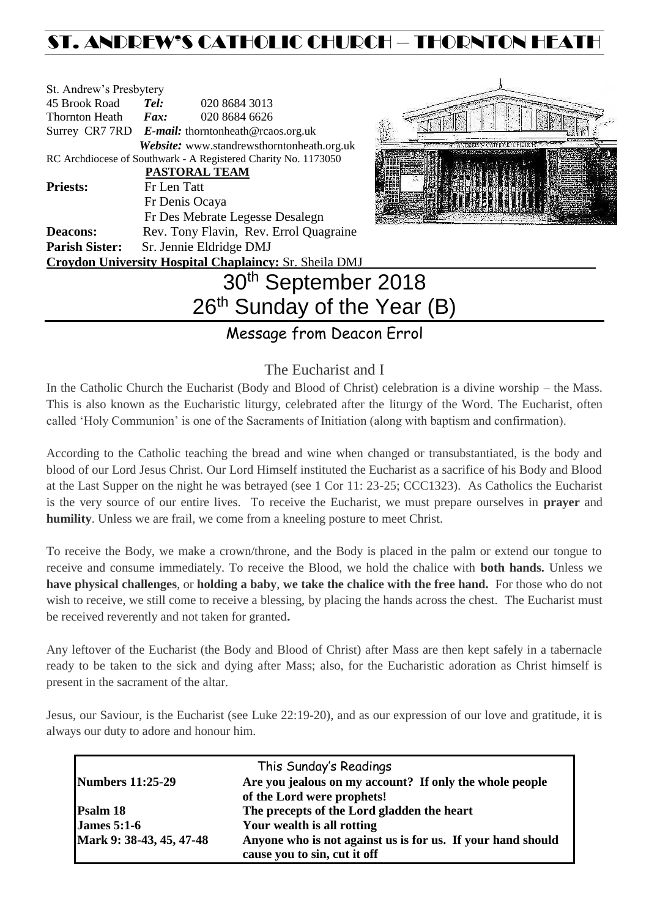## ST. ANDREW'S CATHOLIC CHURCH – THORNTON HEAT

| St. Andrew's Presbytery                                        |                                                   |                                            |  |  |
|----------------------------------------------------------------|---------------------------------------------------|--------------------------------------------|--|--|
| 45 Brook Road                                                  | Tel:                                              | 020 8684 3013                              |  |  |
| Thornton Heath                                                 | Fax:                                              | 020 8684 6626                              |  |  |
|                                                                | Surrey CR7 7RD E-mail: thorntonheath@rcaos.org.uk |                                            |  |  |
|                                                                |                                                   | Website: www.standrewsthorntonheath.org.uk |  |  |
| RC Archdiocese of Southwark - A Registered Charity No. 1173050 |                                                   |                                            |  |  |
|                                                                |                                                   | <b>PASTORAL TEAM</b>                       |  |  |
| <b>Priests:</b>                                                | Fr Len Tatt                                       |                                            |  |  |
|                                                                |                                                   | Fr Denis Ocaya                             |  |  |
|                                                                |                                                   | Fr Des Mebrate Legesse Desalegn            |  |  |
| <b>Deacons:</b>                                                | Rev. Tony Flavin, Rev. Errol Quagraine            |                                            |  |  |
| <b>Parish Sister:</b>                                          | Sr. Jennie Eldridge DMJ                           |                                            |  |  |
| Croydon University Hospital Chaplaincy: Sr. Sheila DMJ         |                                                   |                                            |  |  |
|                                                                |                                                   | 30 <sup>th</sup> September 2               |  |  |
|                                                                |                                                   |                                            |  |  |



# $018$ 26<sup>th</sup> Sunday of the Year (B)

Message from Deacon Errol

## The Eucharist and I

In the Catholic Church the Eucharist (Body and Blood of Christ) celebration is a divine worship – the Mass. This is also known as the Eucharistic liturgy, celebrated after the liturgy of the Word. The Eucharist, often called 'Holy Communion' is one of the Sacraments of Initiation (along with baptism and confirmation).

According to the Catholic teaching the bread and wine when changed or transubstantiated, is the body and blood of our Lord Jesus Christ. Our Lord Himself instituted the Eucharist as a sacrifice of his Body and Blood at the Last Supper on the night he was betrayed (see 1 Cor 11: 23-25; CCC1323). As Catholics the Eucharist is the very source of our entire lives. To receive the Eucharist, we must prepare ourselves in **prayer** and **humility**. Unless we are frail, we come from a kneeling posture to meet Christ.

To receive the Body, we make a crown/throne, and the Body is placed in the palm or extend our tongue to receive and consume immediately. To receive the Blood, we hold the chalice with **both hands.** Unless we **have physical challenges**, or **holding a baby**, **we take the chalice with the free hand.** For those who do not wish to receive, we still come to receive a blessing, by placing the hands across the chest. The Eucharist must be received reverently and not taken for granted**.** 

Any leftover of the Eucharist (the Body and Blood of Christ) after Mass are then kept safely in a tabernacle ready to be taken to the sick and dying after Mass; also, for the Eucharistic adoration as Christ himself is present in the sacrament of the altar.

Jesus, our Saviour, is the Eucharist (see Luke 22:19-20), and as our expression of our love and gratitude, it is always our duty to adore and honour him.

|                          | This Sunday's Readings                                      |  |
|--------------------------|-------------------------------------------------------------|--|
| <b>Numbers 11:25-29</b>  | Are you jealous on my account? If only the whole people     |  |
|                          | of the Lord were prophets!                                  |  |
| <b>Psalm 18</b>          | The precepts of the Lord gladden the heart                  |  |
| James $5:1-6$            | Your wealth is all rotting                                  |  |
| Mark 9: 38-43, 45, 47-48 | Anyone who is not against us is for us. If your hand should |  |
|                          | cause you to sin, cut it off                                |  |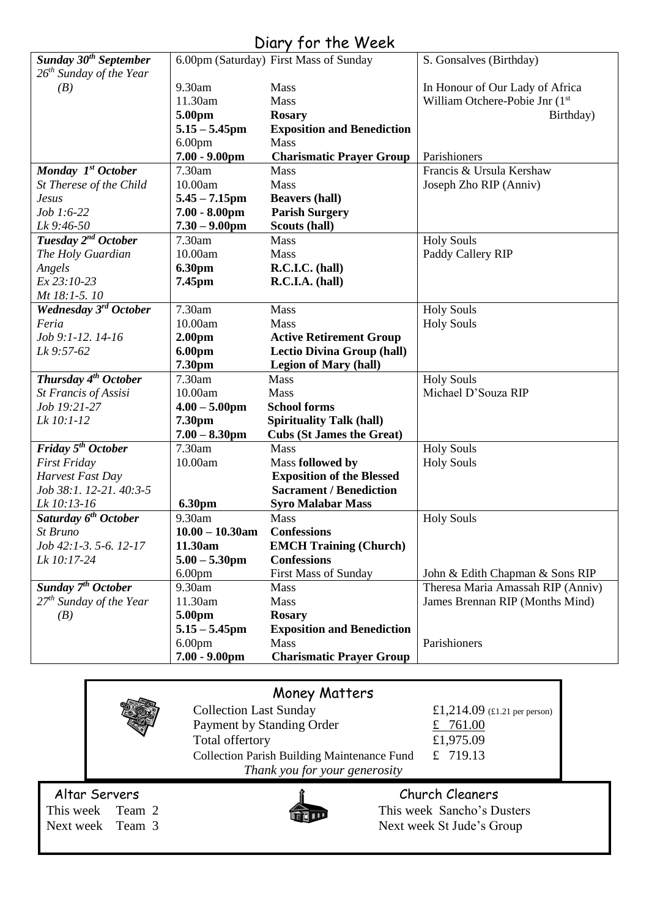#### Diary for the Week *Sunday 30th September 26th Sunday of the Year (B)*  6.00pm (Saturday) First Mass of Sunday 9.30am Mass 11.30am Mass **5.00pm Rosary 5.15 – 5.45pm Exposition and Benediction** 6.00pm Mass<br>**7.00 - 9.00pm Char 7.00 - 9.00pm Charismatic Prayer Group**  S. Gonsalves (Birthday) In Honour of Our Lady of Africa William Otchere-Pobie Jnr (1<sup>st</sup>) Birthday) Parishioners *Monday 1 st October St Therese of the Child Jesus Job 1:6-22 Lk 9:46-50* 7.30am Mass 10.00am Mass<br>5.45 – 7.15pm Beavers (hall) **5.45 – 7.15pm<br>7.00 - 8.00pm Parish Surgery Scouts (hall)**  $7.30 - 9.00$ <sub>pm</sub> Francis & Ursula Kershaw Joseph Zho RIP (Anniv) *Tuesday 2 nd October The Holy Guardian Angels Ex 23:10-23 Mt 18:1-5. 10* 7.30am Mass 10.00am Mass<br> **6.30pm R.C. 6.30pm R.C.I.C. (hall)**<br>**7.45pm R.C.I.A. (hall) R.C.I.A. (hall)** Holy Souls Paddy Callery RIP *Wednesday 3 rd October Feria Job 9:1-12. 14-16 Lk 9:57-62* 7.30am Mass 10.00am Mass **2.00pm Active Retirement Group**<br>**6.00pm Lectio Divina Group** (hall **6.00pm** Lectio Divina Group (hall)<br> **7.30pm** Legion of Mary (hall) **Legion of Mary (hall)** Holy Souls Holy Souls *Thursday 4 th October St Francis of Assisi Job 19:21-27 Lk 10:1-12* 7.30am Mass 10.00am Mass **4.00 – 5.00pm School forms 7.30pm Spirituality Talk (hall) 7.00 – 8.30pm Cubs (St James the Great)** Holy Souls Michael D'Souza RIP *Friday 5 th October First Friday Harvest Fast Day Job 38:1. 12-21. 40:3-5 Lk 10:13-16* 7.30am Mass 10.00am Mass **followed by Exposition of the Blessed Sacrament / Benediction 6.30pm Syro Malabar Mass** Holy Souls Holy Souls *Saturday 6 th October St Bruno Job 42:1-3. 5-6. 12-17 Lk 10:17-24* 9.30am Mass **10.00 – 10.30am Confessions 11.30am EMCH Training (Church) 5.00 – 5.30pm Confessions** 6.00pm First Mass of Sunday Holy Souls John & Edith Chapman & Sons RIP *Sunday 7 th October 27th Sunday of the Year (B)* 9.30am Mass 11.30am Mass **5.00pm Rosary 5.15 – 5.45pm Exposition and Benediction** 6.00pm Mass **7.00 - 9.00pm Charismatic Prayer Group** Theresa Maria Amassah RIP (Anniv) James Brennan RIP (Months Mind) Parishioners

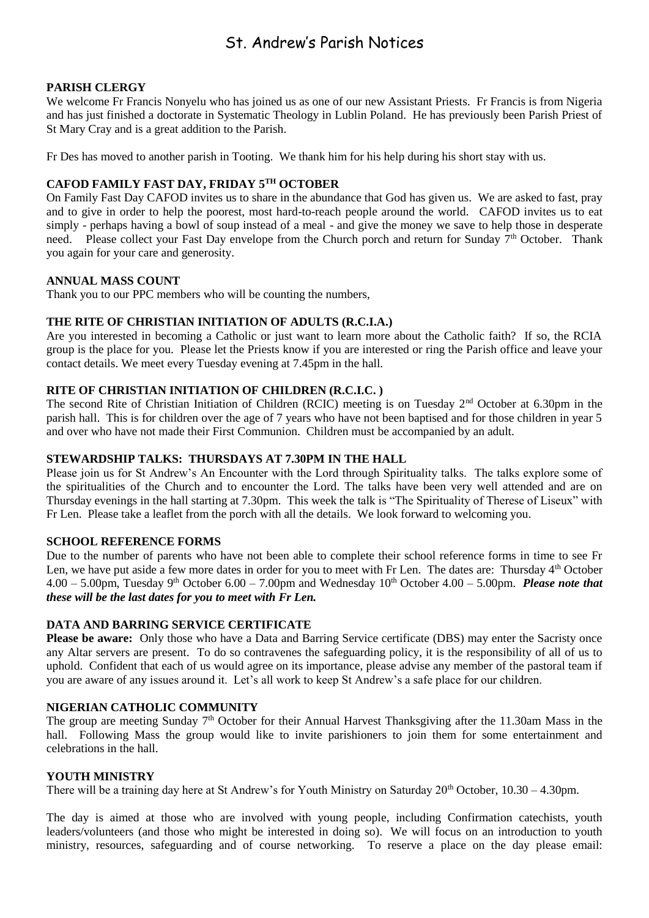## St. Andrew's Parish Notices

#### **PARISH CLERGY**

We welcome Fr Francis Nonyelu who has joined us as one of our new Assistant Priests. Fr Francis is from Nigeria and has just finished a doctorate in Systematic Theology in Lublin Poland. He has previously been Parish Priest of St Mary Cray and is a great addition to the Parish.

Fr Des has moved to another parish in Tooting. We thank him for his help during his short stay with us.

### **CAFOD FAMILY FAST DAY, FRIDAY 5TH OCTOBER**

On Family Fast Day CAFOD invites us to share in the abundance that God has given us. We are asked to fast, pray and to give in order to help the poorest, most hard-to-reach people around the world. CAFOD invites us to eat simply - perhaps having a bowl of soup instead of a meal - and give the money we save to help those in desperate need. Please collect your Fast Day envelope from the Church porch and return for Sunday 7<sup>th</sup> October. Thank you again for your care and generosity.

#### **ANNUAL MASS COUNT**

Thank you to our PPC members who will be counting the numbers,

#### **THE RITE OF CHRISTIAN INITIATION OF ADULTS (R.C.I.A.)**

Are you interested in becoming a Catholic or just want to learn more about the Catholic faith? If so, the RCIA group is the place for you. Please let the Priests know if you are interested or ring the Parish office and leave your contact details. We meet every Tuesday evening at 7.45pm in the hall.

#### **RITE OF CHRISTIAN INITIATION OF CHILDREN (R.C.I.C. )**

The second Rite of Christian Initiation of Children (RCIC) meeting is on Tuesday 2<sup>nd</sup> October at 6.30pm in the parish hall. This is for children over the age of 7 years who have not been baptised and for those children in year 5 and over who have not made their First Communion. Children must be accompanied by an adult.

#### **STEWARDSHIP TALKS: THURSDAYS AT 7.30PM IN THE HALL**

Please join us for St Andrew's An Encounter with the Lord through Spirituality talks. The talks explore some of the spiritualities of the Church and to encounter the Lord. The talks have been very well attended and are on Thursday evenings in the hall starting at 7.30pm. This week the talk is "The Spirituality of Therese of Liseux" with Fr Len. Please take a leaflet from the porch with all the details. We look forward to welcoming you.

#### **SCHOOL REFERENCE FORMS**

Due to the number of parents who have not been able to complete their school reference forms in time to see Fr Len, we have put aside a few more dates in order for you to meet with Fr Len. The dates are: Thursday 4<sup>th</sup> October  $4.00 - 5.00$ pm, Tuesday 9<sup>th</sup> October 6.00 – 7.00pm and Wednesday  $10<sup>th</sup>$  October 4.00 – 5.00pm. *Please note that these will be the last dates for you to meet with Fr Len.*

#### **DATA AND BARRING SERVICE CERTIFICATE**

**Please be aware:** Only those who have a Data and Barring Service certificate (DBS) may enter the Sacristy once any Altar servers are present. To do so contravenes the safeguarding policy, it is the responsibility of all of us to uphold. Confident that each of us would agree on its importance, please advise any member of the pastoral team if you are aware of any issues around it. Let's all work to keep St Andrew's a safe place for our children.

#### **NIGERIAN CATHOLIC COMMUNITY**

The group are meeting Sunday 7<sup>th</sup> October for their Annual Harvest Thanksgiving after the 11.30am Mass in the hall. Following Mass the group would like to invite parishioners to join them for some entertainment and celebrations in the hall.

#### **YOUTH MINISTRY**

There will be a training day here at St Andrew's for Youth Ministry on Saturday  $20<sup>th</sup>$  October,  $10.30 - 4.30$ pm.

The day is aimed at those who are involved with young people, including Confirmation catechists, youth leaders/volunteers (and those who might be interested in doing so). We will focus on an introduction to youth ministry, resources, safeguarding and of course networking. To reserve a place on the day please email: